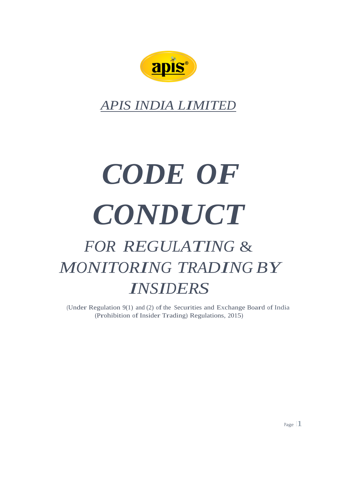

*APIS INDIA LIMITED*

# *CODE OF CONDUCT FOR REGULATING* & *MONITORING TRADING BY*

## *INSIDERS*

(Under Regulation  $9(1)$  and (2) of the Securities and Exchange Board of India (Prohibition of Insider Trading) Regulations, 2015)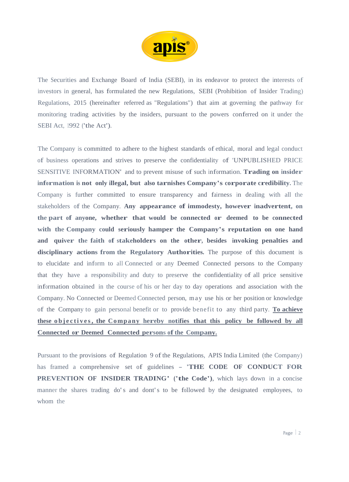

The Securities and Exchange Board of India (SEBI), in its endeavor to protect the interests of investors in general, has formulated the new Regulations, SEBI (Prohibition of Insider Trading) Regulations, 2015 (hereinafter referred as "Regulations") that aim at governing the pathway for monitoring trading activities by the insiders, pursuant to the powers conferred on it under the SEBI Act, 1992 ('the Act').

The Company is committed to adhere to the highest standards of ethical, moral and legal conduct of business operations and strives to preserve the confidentiality of 'UNPUBLISHED PRICE SENSITIVE INFORMATION' and to prevent misuse of such information. **Trading on insider information is not only illegal, but also tarnishes Company's corporate credibility.** The Company is further committed to ensure transparency and fairness in dealing with all the stakeholders of the Company. **Any appearance of immodesty, however inadvertent, on the part of anyone, whether that would be connected or deemed to be connected with the Company could seriously hamper the Company's reputation on one hand and quiver the faith of stakeholders on the other, besides invoking penalties and disciplinary actions from the Regulatory Authorities.** The purpose of this document is to elucidate and inform to all Connected or any Deemed Connected persons to the Company that they have a responsibility and duty to preserve the confidentiality of all price sensitive information obtained in the course of his or her day to day operations and association with the Company. No Connected or Deemed Connected person, may use his or her position or knowledge of the Company to gain personal benefit or to provide benefit to any third party. **To achieve these objectives, the Company hereby notifies that this policy be followed by all Connected or Deemed Connected persons ofthe Company.**

Pursuant to the provisions of Regulation 9 of the Regulations, APIS India Limited (the Company) has framed a comprehensive set of guidelines - **'THE CODE OF CONDUCT FOR PREVENTION OF INSIDER TRADING' ('the Code')**, which lays down in <sup>a</sup> concise manner the shares trading do's and dont's to be followed by the designated employees, to whom the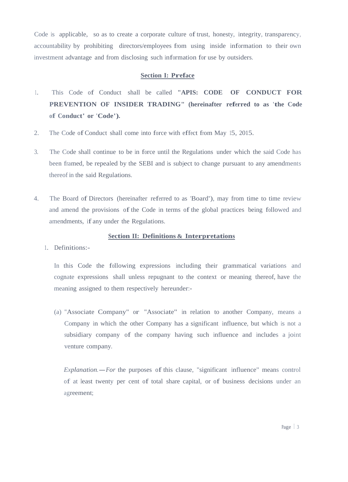Code is applicable, so as to create a corporate culture of trust, honesty, integrity, transparency, accountability by prohibiting directors/employees from using inside information to their own investment advantage and from disclosing such information for use by outsiders.

#### **Section I: Preface**

- 1. This Code of Conduct shall be called **"APIS: CODE OF CONDUCT FOR PREVENTION OF INSIDER TRADING" (hereinafter referred to as 'the Code of Conduct' or 'Code').**
- 2. The Code of Conduct shall come into force with effect from May 15, 2015.
- 3. The Code shall continue to be in force until the Regulations under which the said Code has been framed, be repealed by the SEBI and is subject to change pursuant to any amendments thereof in the said Regulations.
- 4. The Board of Directors (hereinafter referred to as 'Board'), may from time to time review and amend the provisions of the Code in terms of the global practices being followed and amendments, if any under the Regulations.

## **Section II: Definitions & Interpretations**

1. Definitions:-

In this Code the following expressions including their grammatical variations and cognate expressions shall unless repugnant to the context or meaning thereof, have the meaning assigned to them respectively hereunder:-

(a) "Associate Company" or "Associate" in relation to another Company, means a Company in which the other Company has a significant influence, but which is not a subsidiary company of the company having such influence and includes a joint venture company.

*Explanation.*-*For* the purposes of this clause, "significant influence" means control of at least twenty per cent of total share capital, or of business decisions under an agreement;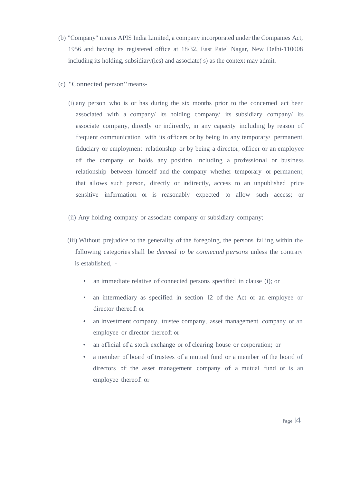- (b) "Company" means APIS India Limited, a company incorporated under the Companies Act, 1956 and having its registered office at 18/32, East Patel Nagar, New Delhi-110008 including its holding, subsidiary(ies) and associate( s) as the context may admit.
- (c) "Connected person"means-
	- (i) any person who is or has during the six months prior to the concerned act been associated with a company/ its holding company/ its subsidiary company/ its associate company, directly or indirectly, in any capacity including by reason of frequent communication with its officers or by being in any temporary/ permanent, fiduciary or employment relationship or by being <sup>a</sup> director, officer or an employee of the company or holds any position including a professional or business relationship between himself and the company whether temporary or permanent, that allows such person, directly or indirectly, access to an unpublished price sensitive information or is reasonably expected to allow such access; or
	- (ii) Any holding company or associate company or subsidiary company;
	- (iii) Without prejudice to the generality ofthe foregoing, the persons falling within the following categories shall be *deemed to be connected persons* unless the contrary is established, -
		- an immediate relative of connected persons specified in clause (i); or
		- an intermediary as specified in section 12 of the Act or an employee or director thereof; or
		- an investment company, trustee company, asset management company or an employee or director thereof; or
		- an official of <sup>a</sup> stock exchange or of clearing house or corporation; or
		- a member of board of trustees of a mutual fund or a member of the board of directors of the asset management company of a mutual fund or is an employee thereof; or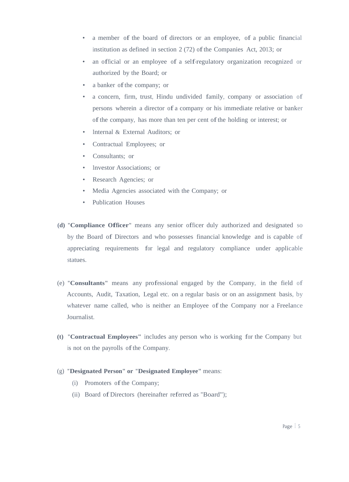- <sup>a</sup> member of the board of directors or an employee, of <sup>a</sup> public financial institution as defined in section 2 (72) of the Companies Act, 2013; or
- an official or an employee of <sup>a</sup> self-regulatory organization recognized or authorized by the Board; or
- a banker of the company; or
- a concern, firm, trust, Hindu undivided family, company or association of persons wherein <sup>a</sup> director of <sup>a</sup> company or his immediate relative or banker ofthe company, has more than ten per cent ofthe holding or interest; or
- Internal & External Auditors; or
- Contractual Employees; or
- Consultants: or
- Investor Associations; or
- Research Agencies; or
- Media Agencies associated with the Company; or
- Publication Houses
- **(d) "Compliance Officer"** means any senior officer duly authorized and designated so by the Board of Directors and who possesses financial knowledge and is capable of appreciating requirements for legal and regulatory compliance under applicable statues.
- (e) **"Consultants"** means any professional engaged by the Company, in the field of Accounts, Audit, Taxation, Legal etc. on a regular basis or on an assignment basis, by whatever name called, who is neither an Employee of the Company nor a Freelance Journalist.
- **(t) "Contractual Employees"** includes any person who is working for the Company but is not on the payrolls of the Company.
- (g) **"Designated Person" or "Designated Employee"** means:
	- (i) Promoters of the Company;
	- (ii) Board of Directors (hereinafter referred as "Board");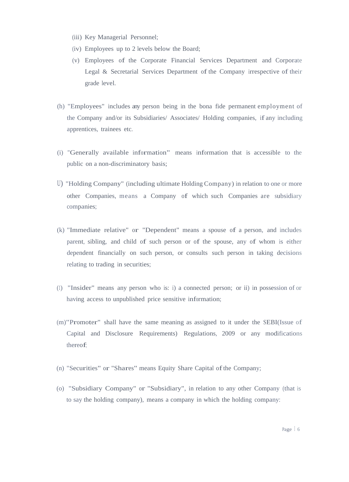- (iii) Key Managerial Personnel;
- (iv) Employees up to 2 levels below the Board;
- (v) Employees of the Corporate Financial Services Department and Corporate Legal  $&$  Secretarial Services Department of the Company irrespective of their grade level.
- (h) "Employees" includes any person being in the bona fide permanent employment of the Company and/or its Subsidiaries/ Associates/ Holding companies, if any including apprentices, trainees etc.
- (i) "Generally available information" means information that is accessible to the public on a non-discriminatory basis;
- U) "Holding Company" (including ultimate Holding Company) in relation to one or more other Companies, means <sup>a</sup> Company of which such Companies are subsidiary companies;
- (k) "Immediate relative" or "Dependent" means a spouse of <sup>a</sup> person, and includes parent, sibling, and child of such person or of the spouse, any of whom is either dependent financially on such person, or consults such person in taking decisions relating to trading in securities;
- (1) "Insider" means any person who is: i) a connected person; or ii) in possession of or having access to unpublished price sensitive information;
- (m)"Promoter" shall have the same meaning as assigned to it under the SEBI(Issue of Capital and Disclosure Requirements) Regulations, 2009 or any modifications thereof;
- (n) "Securities" or "Shares" means Equity Share Capital ofthe Company;
- (o) "Subsidiary Company" or "Subsidiary", in relation to any other Company (that is to say the holding company), means a company in which the holding company: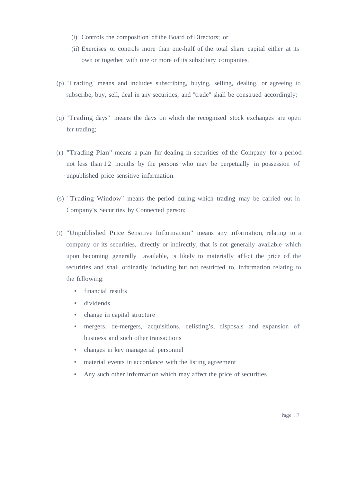- (i) Controls the composition ofthe Board ofDirectors; or
- (ii) Exercises or controls more than one-half of the total share capital either at its own or together with one or more of its subsidiary companies.
- (p) "Trading" means and includes subscribing, buying, selling, dealing, or agreeing to subscribe, buy, sell, deal in any securities, and "trade" shall be construed accordingly;
- (q) "Trading days" means the days on which the recognized stock exchanges are open for trading;
- (r) "Trading Plan" means <sup>a</sup> plan for dealing in securities of the Company for <sup>a</sup> period not less than 12 months by the persons who may be perpetually in possession of unpublished price sensitive information.
- (s) "Trading Window" means the period during which trading may be carried out in Company's Securities by Connected person;
- (t) "Unpublished Price Sensitive Information" means any information, relating to <sup>a</sup> company or its securities, directly or indirectly, that is not generally available which upon becoming generally available, is likely to materially affect the price of the securities and shall ordinarily including but not restricted to, information relating to the following:
	- financial results
	- dividends
	- change in capital structure
	- mergers, de-mergers, acquisitions, delisting's, disposals and expansion of business and such other transactions
	- changes in key managerial personnel
	- material events in accordance with the listing agreement
	- Any such other information which may affect the price of securities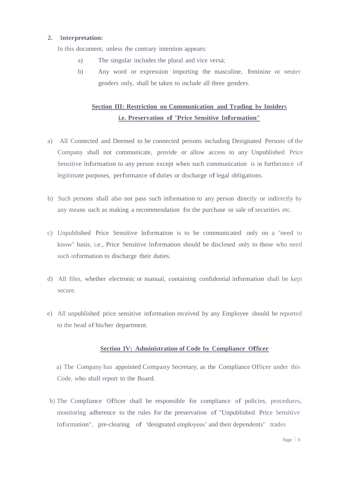## **2. Interpretation:**

In this document, unless the contrary intention appears:

- a) The singular includes the plural and vice versa;
- b) Any word or expression importing the masculine, feminine or neuter genders only, shall be taken to include all three genders.

## **Section III: Restriction on Communication and Trading by Insiders i.e. Preservation of "Price Sensitive Information"**

- a) All Connected and Deemed to be connected persons including Designated Persons ofthe Company shall not communicate, provide or allow access to any Unpublished Price Sensitive Information to any person except when such communication is in furtherance of legitimate purposes, performance of duties or discharge of legal obligations.
- b) Such persons shall also not pass such information to any person directly or indirectly by any means such as making a recommendation for the purchase or sale of securities etc.
- c) Unpublished Price Sensitive Information is to be communicated only on a "need to know" basis, i.e., Price Sensitive Information should be disclosed only to those who need such information to discharge their duties.
- d) All files, whether electronic or manual, containing confidential information shall be kept secure.
- e) All unpublished price sensitive information received by any Employee should be reported to the head of his/her department.

## **Section IV: Administration of Code by Compliance Officer**

a) The Company has appointed Company Secretary, as the Compliance Officer under this Code, who shall report to the Board.

b) The Compliance Officer shall be responsible for compliance of policies, procedures, monitoring adherence to the rules for the preservation of "Unpublished Price Sensitive Information", pre-clearing of 'designated employees' and their dependents' trades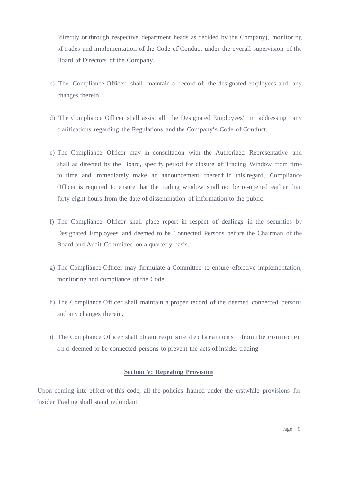(directly or through respective department heads as decided by the Company), monitoring of trades and implementation of the Code of Conduct under the overall supervision of the Board of Directors of the Company.

- c) The Compliance Officer shall maintain a record of the designated employees and any changes therein.
- d) The Compliance Officer shall assist all the Designated Employees' in addressing any clarifications regarding the Regulations and the Company's Code of Conduct.
- e) The Compliance Officer may in consultation with the Authorized Representative and shall as directed by the Board, specify period for closure of Trading Window from time to time and immediately make an announcement thereof. In this regard, Compliance Officer is required to ensure that the trading window shall not be re-opened earlier than forty-eight hours from the date of dissemination of information to the public.
- f) The Compliance Officer shall place report in respect of dealings in the securities by Designated Employees and deemed to be Connected Persons before the Chairman ofthe Board and Audit Committee on a quarterly basis.
- g) The Compliance Officer may formulate <sup>a</sup> Committee to ensure effective implementation, monitoring and compliance of the Code.
- h) The Compliance Officer shall maintain a proper record of the deemed connected persons and any changes therein.
- i) The Compliance Officer shall obtain requisite declarations from the connected and deemed to be connected persons to prevent the acts of insider trading.

## **Section V: Repealing Provision**

Upon coming into effect of this code, all the policies framed under the erstwhile provisions for Insider Trading shall stand redundant.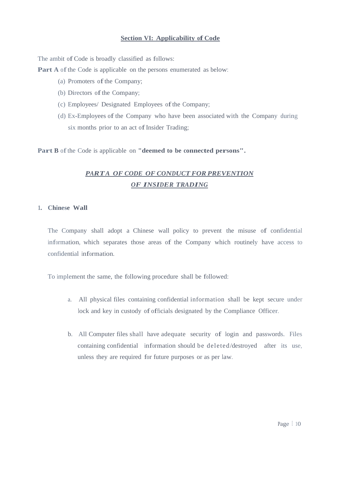## **Section VI: Applicability of Code**

The ambit of Code is broadly classified as follows:

**Part A** of the Code is applicable on the persons enumerated as below:

- (a) Promoters of the Company;
- (b) Directors of the Company;
- (c) Employees/ Designated Employees ofthe Company;
- (d) Ex-Employees ofthe Company who have been associated with the Company during six months prior to an act of Insider Trading;

**Part <sup>B</sup>** ofthe Code is applicable on **"deemed to be connected persons".**

## *PARTA OF CODE OF CONDUCT FOR PREVENTION OF INSIDER TRADING*

#### **1. Chinese Wall**

The Company shall adopt a Chinese wall policy to prevent the misuse of confidential information, which separates those areas of the Company which routinely have access to confidential information.

To implement the same, the following procedure shall be followed:

- a. All physical files containing confidential information shall be kept secure under lock and key in custody of officials designated by the Compliance Officer.
- b. All Computer files shall have adequate security of login and passwords. Files containing confidential information should be deleted/destroyed after its use, unless they are required for future purposes or as per law.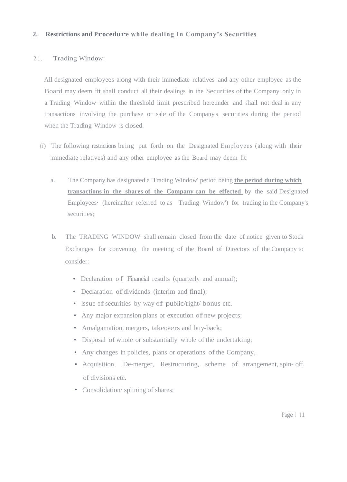## **2. Restrictions and Procedure while dealing In Company's Securities**

## 2.1. Trading Window:

All designated employees along with their immediate relatives and any other employee as the Board may deem fit shall conduct all their dealings in the Securities of the Company only in a Trading Window within the threshold limit prescribed hereunder and shall not deal in any transactions involving the purchase or sale of the Company's securities during the period when the Trading Window is closed.

- (i) The following restrictions being put forth on the Designated Employees (along with their immediate relatives) and any other employee as the Board may deem fit:
	- a. The Company has designated a 'Trading Window' period being **the period during which transactions in the shares of the Company can be effected** by the said Designated Employees· (hereinafter referred to as 'Trading Window') for trading in the Company's securities:
	- b. The TRADING WINDOW shall remain closed from the date of notice given to Stock Exchanges for convening the meeting of the Board of Directors of the Company to consider:
		- Declaration of Financial results (quarterly and annual);
		- Declaration of dividends (interim and final);
		- Issue of securities by way of public/right/ bonus etc.
		- Any major expansion plans or execution of new projects;
		- Amalgamation, mergers, takeovers and buy-back;
		- Disposal of whole or substantially whole of the undertaking;
		- Any changes in policies, plans or operations of the Company,
		- Acquisition, De-merger, Restructuring, scheme of arrangement, spin- off of divisions etc.
		- Consolidation/ splining of shares;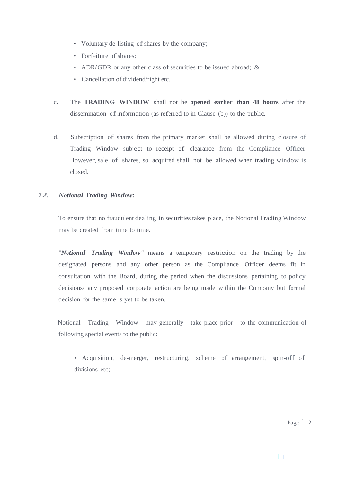- Voluntary de-listing of shares by the company;
- Forfeiture of shares:
- ADR/GDR or any other class of securities to be issued abroad; &
- Cancellation of dividend/right etc.
- c. The **TRADING WINDOW** shall not be **opened earlier than 48 hours** after the dissemination of information (as referred to in Clause  $(b)$ ) to the public.
- d. Subscription of shares from the primary market shall be allowed during closure of Trading Window subject to receipt of clearance from the Compliance Officer. However, sale of shares, so acquired shall not be allowed when trading window is closed.

## *2.2. Notional Trading Window:*

To ensure that no fraudulent dealing in securities takes place, the Notional Trading Window may be created from time to time.

 *"Notional Trading Window"* means a temporary restriction on the trading by the designated persons and any other person as the Compliance Officer deems fit in consultation with the Board, during the period when the discussions pertaining to policy decisions/ any proposed corporate action are being made within the Company but formal decision for the same is yet to be taken.

 Notional Trading Window may generally take place prior to the communication of following special events to the public:

• Acquisition, de-merger, restructuring, scheme of arrangement, spin-off of divisions etc;

Page 12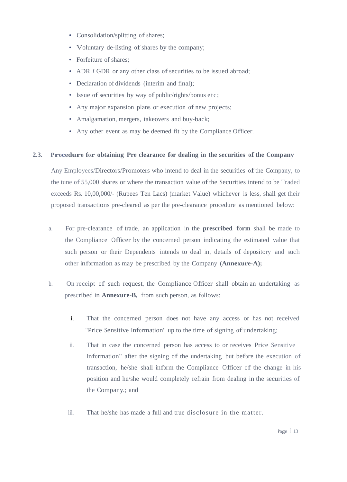- Consolidation/splitting of shares;
- Voluntary de-listing of shares by the company;
- Forfeiture of shares:
- ADR *I* GDR or any other class of securities to be issued abroad;
- Declaration of dividends (interim and final);
- Issue of securities by way of public/rights/bonus etc;
- Any major expansion plans or execution of new projects;
- Amalgamation, mergers, takeovers and buy-back;
- Any other event as may be deemed fit by the Compliance Officer.

#### **2.3. Procedure for obtaining Pre clearance for dealing in the securities ofthe Company**

Any Employees/Directors/Promoters who intend to deal in the securities of the Company, to the tune of 55,000 shares or where the transaction value ofthe Securities intend to be Traded exceeds Rs. 10,00,000/- (Rupees Ten Lacs) (market Value) whichever is less, shall get their proposed transactions pre-cleared as per the pre-clearance procedure as mentioned below:

- a. For pre-clearance of trade, an application in the **prescribed form** shall be made to the Compliance Officer by the concerned person indicating the estimated value that such person or their Dependents intends to deal in, details of depository and such other information as may be prescribed by the Company **(Annexure-A);**
- b. On receipt of such request, the Compliance Officer shall obtain an undertaking as prescribed in **Annexure-B,** from such person, as follows:
	- i. That the concerned person does not have any access or has not received "Price Sensitive Information" up to the time of signing of undertaking;
	- ii. That in case the concerned person has access to or receives Price Sensitive Information" after the signing of the undertaking but before the execution of transaction, he/she shall inform the Compliance Officer of the change in his position and he/she would completely refrain from dealing in the securities of the Company.; and
	- iii. That he/she has made a full and true disclosure in the matter.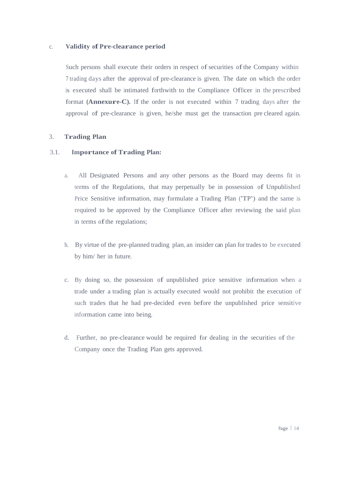## c. **Validity of Pre-clearance period**

Such persons shall execute their orders in respect of securities of the Company within 7 trading days after the approval of pre-clearance is given. The date on which the order is executed shall be intimated forthwith to the Compliance Officer in the prescribed format **(Annexure-C).** If the order is not executed within 7 trading days after the approval of pre-clearance is given, he/she must get the transaction pre cleared again.

## 3. **Trading Plan**

## 3.1. **Importance of Trading Plan:**

- a. All Designated Persons and any other persons as the Board may deems fit in terms of the Regulations, that may perpetually be in possession of Unpublished Price Sensitive information, may formulate a Trading Plan ('TP') and the same is required to be approved by the Compliance Officer after reviewing the said plan in terms of the regulations;
- b. By virtue of the pre-planned trading plan, an insider can plan for trades to be executed by him/ her in future.
- c. By doing so, the possession of unpublished price sensitive information when <sup>a</sup> trade under <sup>a</sup> trading plan is actually executed would not prohibit the execution of such trades that he had pre-decided even before the unpublished price sensitive information came into being.
- d. Further, no pre-clearance would be required for dealing in the securities of the Company once the Trading Plan gets approved.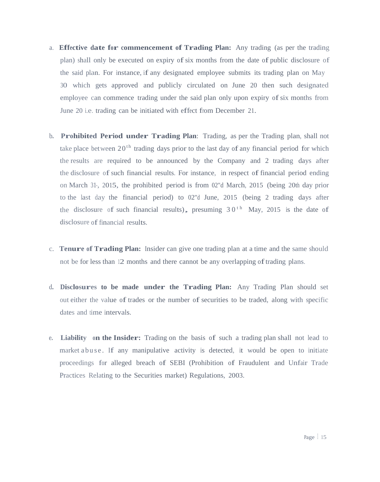- a. **Effective date for commencement of Trading Plan:** Any trading (as per the trading plan) shall only be executed on expiry of six months from the date of public disclosure of the said plan. For instance, if any designated employee submits its trading plan on May 30 which gets approved and publicly circulated on June 20 then such designated employee can commence trading under the said plan only upon expiry of six months from June 20 i.e. trading can be initiated with effect from December 21.
- <sup>b</sup>**. Prohibited Period under Trading Plan**: Trading, as per the Trading plan, shall not take place between  $20<sup>th</sup>$  trading days prior to the last day of any financial period for which the results are required to be announced by the Company and 2 trading days after the disclosure of such financial results. For instance, in respect of financial period ending on March 31-, 2015, the prohibited period is from 02"d March, 2015 (being 20th day prior to the last day the financial period) to 02"d June, 2015 (being 2 trading days after the disclosure of such financial results), presuming  $30<sup>th</sup>$  May, 2015 is the date of disclosure of financial results.
- c. **Tenure of Trading Plan:** Insider can give one trading plan at <sup>a</sup> time and the same should not be for less than 12 months and there cannot be any overlapping of trading plans.
- <sup>d</sup>**. Disclosures to be made under the Trading Plan:** Any Trading Plan should set out either the value of trades or the number of securities to be traded, along with specific dates and time intervals.
- <sup>e</sup>**. Liability on the Insider:** Trading on the basis of such <sup>a</sup> trading plan shall not lead to market a buse. If any manipulative activity is detected, it would be open to initiate proceedings for alleged breach of SEBI (Prohibition of Fraudulent and Unfair Trade Practices Relating to the Securities market) Regulations, 2003.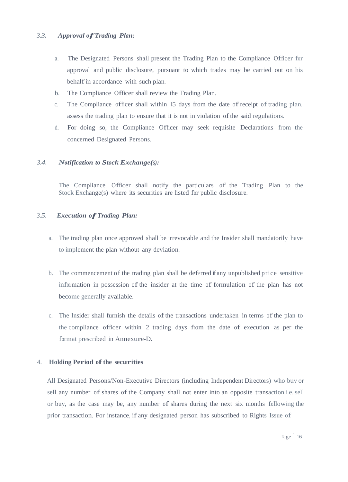## *3.3. Approval ofTrading Plan:*

- a. The Designated Persons shall present the Trading Plan to the Compliance Officer for approval and public disclosure, pursuant to which trades may be carried out on his behalf in accordance with such plan.
- b. The Compliance Officer shall review the Trading Plan.
- c. The Compliance officer shall within 15 days from the date of receipt of trading plan, assess the trading plan to ensure that it is not in violation ofthe said regulations.
- d. For doing so, the Compliance Officer may seek requisite Declarations from the concerned Designated Persons.

## *3.4. Notification to Stock Exchange(s):*

The Compliance Officer shall notify the particulars of the Trading Plan to the Stock Exchange(s) where its securities are listed for public disclosure.

## *3.5. Execution ofTrading Plan:*

- a. The trading plan once approved shall be irrevocable and the Insider shall mandatorily have to implement the plan without any deviation.
- b. The commencement of the trading plan shall be deferred if any unpublished price sensitive information in possession of the insider at the time of formulation of the plan has not become generally available.
- c. The Insider shall furnish the details of the transactions undertaken in terms of the plan to the compliance officer within 2 trading days from the date of execution as per the format prescribed in Annexure-D.

## 4. **Holding Period of the securities**

All Designated Persons/Non-Executive Directors (including Independent Directors) who buy or sell any number of shares of the Company shall not enter into an opposite transaction i.e. sell or buy, as the case may be, any number of shares during the next six months following the prior transaction. For instance, if any designated person has subscribed to Rights Issue of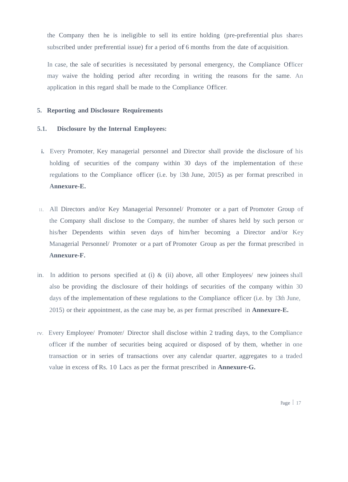the Company then he is ineligible to sell its entire holding (pre-preferential plus shares subscribed under preferential issue) for <sup>a</sup> period of 6 months from the date of acquisition.

In case, the sale of securities is necessitated by personal emergency, the Compliance Officer may waive the holding period after recording in writing the reasons for the same. An application in this regard shall be made to the Compliance Officer.

## **5. Reporting and Disclosure Requirements**

## **5.1. Disclosure by the Internal Employees:**

- **i.** Every Promoter, Key managerial personnel and Director shall provide the disclosure of his holding of securities of the company within 30 days of the implementation of these regulations to the Compliance officer (i.e. by 13th June, 2015) as per format prescribed in **Annexure-E.**
- 11. All Directors and/or Key Managerial Personnel/ Promoter or <sup>a</sup> part of Promoter Group of the Company shall disclose to the Company, the number of shares held by such person or his/her Dependents within seven days of him/her becoming a Director and/or Key Managerial Personnel/ Promoter or a part of Promoter Group as per the format prescribed in **Annexure-F.**
- in. In addition to persons specified at (i) & (ii) above, all other Employees/ new joinees shall also be providing the disclosure of their holdings of securities of the company within 30 days of the implementation of these regulations to the Compliance officer (i.e. by 13th June, 2015) or their appointment, as the case may be, as per format prescribed in **Annexure-E.**
- rv. Every Employee/ Promoter/ Director shall disclose within 2 trading days, to the Compliance officer if the number of securities being acquired or disposed of by them, whether in one transaction or in series of transactions over any calendar quarter, aggregates to <sup>a</sup> traded value in excess ofRs. 10 Lacs as per the format prescribed in **Annexure-G.**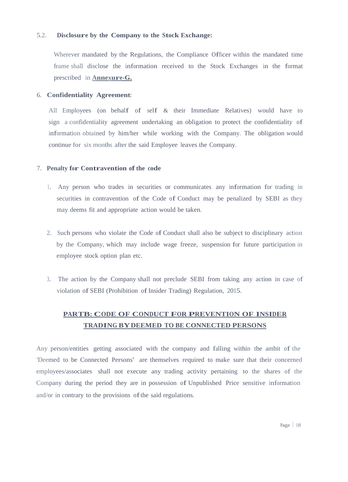## 5.2. **Disclosure by the Company to the Stock Exchange:**

Wherever mandated by the Regulations, the Compliance Officer within the mandated time frame shall disclose the information received to the Stock Exchanges in the format prescribed in **Annexure-G.**

## 6. **Confidentiality Agreement:**

All Employees (on behalf of self & their Immediate Relatives) would have to sign a confidentiality agreement undertaking an obligation to protect the confidentiality of information obtained by him/her while working with the Company. The obligation would continue for six months after the said Employee leaves the Company.

#### 7. **Penalty for Contravention ofthe code**

- 1. Any person who trades in securities or communicates any information for trading in securities in contravention of the Code of Conduct may be penalized by SEBI as they may deems fit and appropriate action would be taken.
- 2. Such persons who violate the Code of Conduct shall also be subject to disciplinary action by the Company, which may include wage freeze, suspension for future participation in employee stock option plan etc.
- 3. The action by the Company shall not preclude SEBI from taking any action in case of violation of SEBI (Prohibition of Insider Trading) Regulation, 2015.

## **PARTB: CODE OF CONDUCT FOR PREVENTION OF INSIDER TRADING BYDEEMED TO BE CONNECTED PERSONS**

Any person/entities getting associated with the company and falling within the ambit of the 'Deemed to be Connected Persons' are themselves required to make sure that their concerned employees/associates shall not execute any trading activity pertaining to the shares of the Company during the period they are in possession of Unpublished Price sensitive information and/or in contrary to the provisions of the said regulations.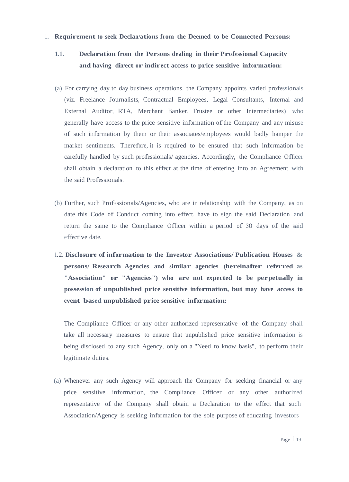#### 1. **Requirement to seek Declarations from the Deemed to be Connected Persons:**

## **1.1. Declaration from the Persons dealing in their Professional Capacity and having direct or indirect access to price sensitive information:**

- (a) For carrying day to day business operations, the Company appoints varied professionals (viz. Freelance Journalists, Contractual Employees, Legal Consultants, Internal and External Auditor, RTA, Merchant Banker, Trustee or other Intermediaries) who generally have access to the price sensitive information ofthe Company and any misuse of such information by them or their associates/employees would badly hamper the market sentiments. Therefore, it is required to be ensured that such information be carefully handled by such professionals/ agencies. Accordingly, the Compliance Officer shall obtain <sup>a</sup> declaration to this effect at the time of entering into an Agreement with the said Professionals.
- (b) Further, such Professionals/Agencies, who are in relationship with the Company, as on date this Code of Conduct coming into effect, have to sign the said Declaration and return the same to the Compliance Officer within a period of 30 days of the said effective date.
- 1.2. **Disclosure of information to the Investor Associations/ Publication Houses & persons/ Research Agencies and similar agencies (hereinafter referred as "Association" or "Agencies") who are not expected to be perpetually in possession of unpublished price sensitive information, but may have access to event based unpublished price sensitive information:**

The Compliance Officer or any other authorized representative of the Company shall take all necessary measures to ensure that unpublished price sensitive information is being disclosed to any such Agency, only on a "Need to know basis", to perform their legitimate duties.

(a) Whenever any such Agency will approach the Company for seeking financial or any price sensitive information, the Compliance Officer or any other authorized representative of the Company shall obtain a Declaration to the effect that such Association/Agency is seeking information for the sole purpose of educating investors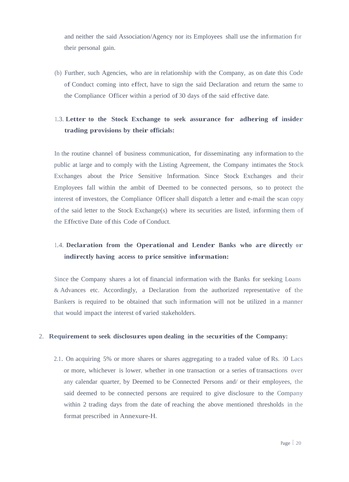and neither the said Association/Agency nor its Employees shall use the information for their personal gain.

(b) Further, such Agencies, who are in relationship with the Company, as on date this Code of Conduct coming into effect, have to sign the said Declaration and return the same to the Compliance Officer within <sup>a</sup> period of 30 days ofthe said effective date.

## 1.3. **Letter to the Stock Exchange to seek assurance for adhering of insider trading provisions by their officials:**

In the routine channel of business communication, for disseminating any information to the public at large and to comply with the Listing Agreement, the Company intimates the Stock Exchanges about the Price Sensitive Information. Since Stock Exchanges and their Employees fall within the ambit of Deemed to be connected persons, so to protect the interest of investors, the Compliance Officer shall dispatch a letter and e-mail the scan copy ofthe said letter to the Stock Exchange(s) where its securities are listed, informing them of the Effective Date of this Code of Conduct.

## 1.4. **Declaration from the Operational and Lender Banks who are directly or indirectly having access to price sensitive information:**

Since the Company shares a lot of financial information with the Banks for seeking Loans & Advances etc. Accordingly, a Declaration from the authorized representative of the Bankers is required to be obtained that such information will not be utilized in a manner that would impact the interest of varied stakeholders.

## 2. **Requirement to seek disclosures upon dealing in the securities ofthe Company:**

2.1. On acquiring 5% or more shares or shares aggregating to a traded value of Rs. 10 Lacs or more, whichever is lower, whether in one transaction or <sup>a</sup> series oftransactions over any calendar quarter, by Deemed to be Connected Persons and/ or their employees, the said deemed to be connected persons are required to give disclosure to the Company within 2 trading days from the date of reaching the above mentioned thresholds in the format prescribed in Annexure-H.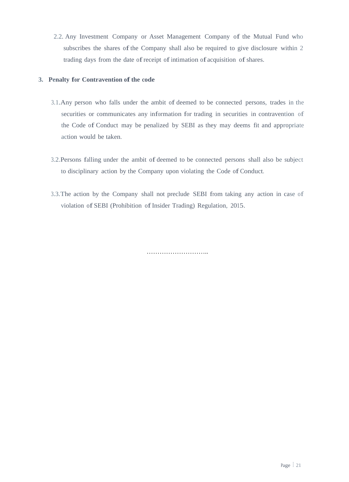2.2. Any Investment Company or Asset Management Company of the Mutual Fund who subscribes the shares of the Company shall also be required to give disclosure within 2 trading days from the date of receipt of intimation of acquisition of shares.

## **3. Penalty for Contravention of the code**

- 3.1.Any person who falls under the ambit of deemed to be connected persons, trades in the securities or communicates any information for trading in securities in contravention of the Code of Conduct may be penalized by SEBI as they may deems fit and appropriate action would be taken.
- 3.2.Persons falling under the ambit of deemed to be connected persons shall also be subject to disciplinary action by the Company upon violating the Code of Conduct.
- 3.3.The action by the Company shall not preclude SEBI from taking any action in case of violation of SEBI (Prohibition of Insider Trading) Regulation, 2015.

…………………………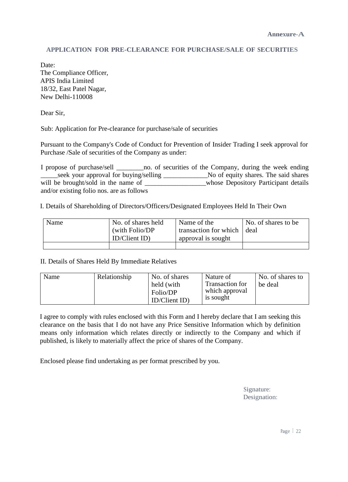## **APPLICATION FOR PRE-CLEARANCE FOR PURCHASE/SALE OF SECURITIES**

Date: The Compliance Officer, APIS India Limited 18/32, East Patel Nagar, New Delhi-110008

Dear Sir,

Sub: Application for Pre-clearance for purchase/sale of securities

Pursuant to the Company's Code of Conduct for Prevention of Insider Trading I seek approval for Purchase /Sale of securities of the Company as under:

 I propose of purchase/sell \_\_\_\_\_\_\_\_no. of securities of the Company, during the week ending seek your approval for buying/selling \_\_\_\_\_\_\_\_\_\_\_\_\_\_\_No of equity shares. The said shares will be brought/sold in the name of \_\_\_\_\_\_\_\_\_\_\_\_\_\_\_\_\_\_\_\_whose Depository Participant details and/or existing folio nos. are as follows

I. Details of Shareholding of Directors/Officers/Designated Employees Held In Their Own

| Name | No. of shares held | Name of the           | No. of shares to be |
|------|--------------------|-----------------------|---------------------|
|      | (with Folio/DP)    | transaction for which | deal                |
|      | ID/ClientID)       | approval is sought    |                     |
|      |                    |                       |                     |

## II. Details of Shares Held By Immediate Relatives

| Name | Relationship | No. of shares | Nature of       | No. of shares to |
|------|--------------|---------------|-----------------|------------------|
|      |              | held (with    | Transaction for | be deal          |
|      |              | Folio/DP      | which approval  |                  |
|      |              | ID/ClientID)  | is sought       |                  |

I agree to comply with rules enclosed with this Form and I hereby declare that I am seeking this clearance on the basis that I do not have any Price Sensitive Information which by definition means only information which relates directly or indirectly to the Company and which if published, is likely to materially affect the price of shares of the Company.

Enclosed please find undertaking as per format prescribed by you.

Signature: Designation: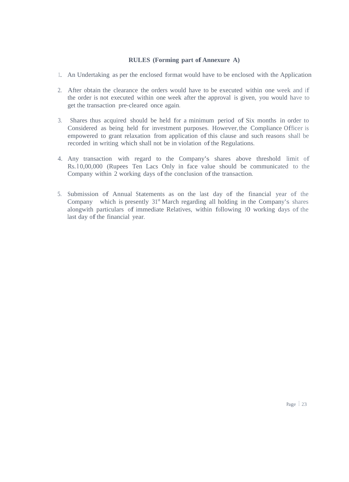## **RULES (Forming part of Annexure A)**

- 1. An Undertaking as per the enclosed format would have to be enclosed with the Application
- 2. After obtain the clearance the orders would have to be executed within one week and if the order is not executed within one week after the approval is given, you would have to get the transaction pre-cleared once again.
- 3. Shares thus acquired should be held for a minimum period of Six months in order to Considered as being held for investment purposes. However, the Compliance Officer is empowered to grant relaxation from application of this clause and such reasons shall be recorded in writing which shall not be in violation of the Regulations.
- 4. Any transaction with regard to the Company's shares above threshold limit of Rs. l 0,00,000 (Rupees Ten Lacs Only in face value should be communicated to the Company within 2 working days of the conclusion of the transaction.
- 5. Submission of Annual Statements as on the last day of the financial year of the Company which is presently  $31<sup>st</sup>$  March regarding all holding in the Company's shares alongwith particulars of immediate Relatives, within following 10 working days of the last day of the financial year.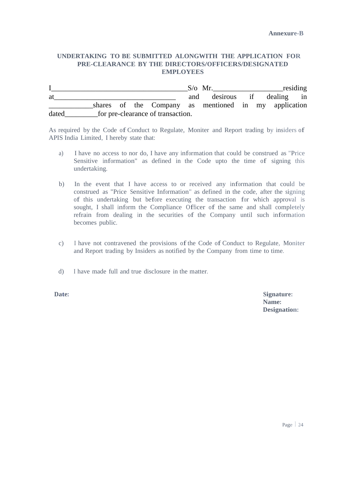## **UNDERTAKING TO BE SUBMITTED ALONGWITH THE APPLICATION FOR PRE-CLEARANCE BY THE DIRECTORS/OFFICERS/DESIGNATED EMPLOYEES**

|       |  |                                   |     | $S/\sigma$ Mr.                                       |  | residing |
|-------|--|-----------------------------------|-----|------------------------------------------------------|--|----------|
| at    |  |                                   | and | desirous if dealing in                               |  |          |
|       |  |                                   |     | shares of the Company as mentioned in my application |  |          |
| dated |  | for pre-clearance of transaction. |     |                                                      |  |          |

As required by the Code of Conduct to Regulate, Moniter and Report trading by insiders of APIS India Limited, I hereby state that:

- a) I have no access to nor do, I have any information that could be construed as "Price Sensitive information" as defined in the Code upto the time of signing this undertaking.
- b) In the event that I have access to or received any information that could be construed as "Price Sensitive Information" as defined in the code, after the signing of this undertaking but before executing the transaction for which approval is sought, I shall inform the Compliance Officer of the same and shall completely refrain from dealing in the securities of the Company until such information becomes public.
- c) I have not contravened the provisions of the Code of Conduct to Regulate, Moniter and Report trading by Insiders as notified by the Company from time to time.
- d) I have made full and true disclosure in the matter.

Date: Signature: **Signature: Name: Designation:**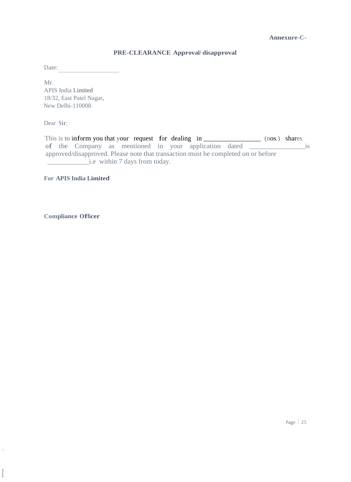## **Annexure-C-**

## **PRE-CLEARANCE Approval/ disapproval**

Date: <u>r</u>

Mr. APIS India Limited 18/32, East Patel Nagar, New Delhi-110008

Dear Sir,

This is to inform you that your request for dealing in \_\_\_\_\_\_\_\_\_\_\_\_\_\_\_\_\_\_\_\_\_ (nos.) shares of the Company as mentioned in your application dated \_\_\_\_\_\_\_\_\_\_\_\_\_\_\_\_is approved/disapproved. Please note that transaction must be completed on or before \_\_\_\_\_\_\_\_\_\_\_\_i.e within 7 days from today.

**For APIS India Limited**

**Compliance Officer**

j

I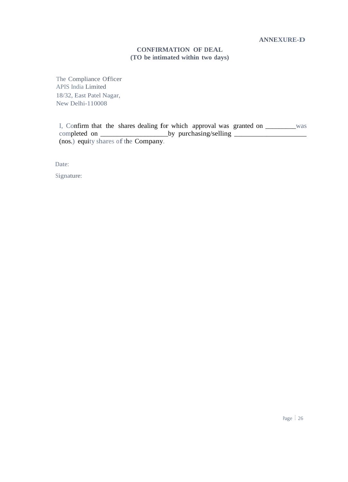## **CONFIRMATION OF DEAL (TO be intimated within two days)**

The Compliance Officer APIS India Limited 18/32, East Patel Nagar, New Delhi-110008

I, Confirm that the shares dealing for which approval was granted on \_\_\_\_\_\_\_\_\_was completed on \_\_\_\_\_\_\_\_\_\_\_\_\_\_\_\_\_\_\_\_by purchasing/selling \_\_\_\_\_\_\_\_\_\_\_\_\_\_\_\_\_\_\_\_  $(nos.)$  equity shares of the Company.

Date:

Signature: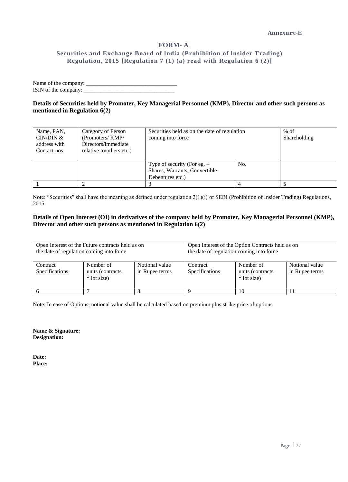## **FORM- A Securities and Exchange Board of lndia (Prohibition of lnsider Trading) Regulation, 2015 [Regulation 7 (1) (a) read with Regulation 6 (2)]**

Name of the company: \_\_\_\_\_\_\_\_\_\_\_\_\_\_\_\_\_\_\_\_\_\_\_\_\_\_\_\_\_\_\_\_ ISIN of the company: \_\_\_\_\_\_\_\_\_\_\_\_\_\_\_\_\_\_\_\_\_\_\_\_\_\_\_\_\_\_\_\_

**Details of Securities held by Promoter, Key Managerial Personnel (KMP), Director and other such persons as mentioned in Regulation 6(2)**

| Name, PAN,<br>CIN/DIN $&$<br>address with<br>Contact nos. | Category of Person<br>(Promoters/KMP/<br>Directors/immediate<br>relative to/others etc.) | Securities held as on the date of regulation<br>coming into force                  |     | $%$ of<br>Shareholding |
|-----------------------------------------------------------|------------------------------------------------------------------------------------------|------------------------------------------------------------------------------------|-----|------------------------|
|                                                           |                                                                                          | Type of security (For eg. $-$<br>Shares, Warrants, Convertible<br>Debentures etc.) | No. |                        |
|                                                           |                                                                                          |                                                                                    |     |                        |

Note: "Securities" shall have the meaning as defined under regulation 2(1)(i) of SEBI (Prohibition of Insider Trading) Regulations, 2015.

#### **Details of Open Interest (OI) in derivatives of the company held by Promoter, Key Managerial Personnel (KMP), Director and other such persons as mentioned in Regulation 6(2)**

| the date of regulation coming into force | Open Interest of the Future contracts held as on |                                  | Open Interest of the Option Contracts held as on<br>the date of regulation coming into force                   |    |  |  |  |
|------------------------------------------|--------------------------------------------------|----------------------------------|----------------------------------------------------------------------------------------------------------------|----|--|--|--|
| Contract<br>Specifications               | Number of<br>units (contracts<br>* lot size)     | Notional value<br>in Rupee terms | Notional value<br>Number of<br>Contract<br>Specifications<br>in Rupee terms<br>units (contracts<br>* lot size) |    |  |  |  |
|                                          |                                                  |                                  |                                                                                                                | 10 |  |  |  |

Note: In case of Options, notional value shall be calculated based on premium plus strike price of options

**Name & Signature: Designation:**

**Date: Place:**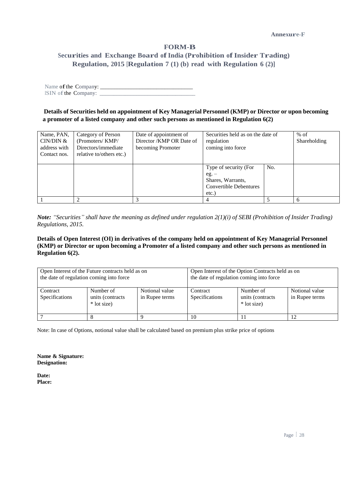## **FORM-B**

## **Securities and Exchange Board ofIndia (Prohibition ofInsider Trading) Regulation, 2015 [Regulation 7 (1) (b) read with Regulation 6 (2)]**

Name of the Company: ISIN of the Company:

**Details of Securities held on appointment of Key Managerial Personnel (KMP) or Director or upon becoming a promoter of a listed company and other such persons as mentioned in Regulation 6(2)**

| Name, PAN,<br>CIN/DIN &<br>address with<br>Contact nos. | Category of Person<br>(Promoters/KMP/<br>Directors/immediate<br>relative to/others etc.) | Date of appointment of<br>Director /KMP OR Date of<br>becoming Promoter | Securities held as on the date of<br>regulation<br>coming into force                        |     | $%$ of<br>Shareholding |
|---------------------------------------------------------|------------------------------------------------------------------------------------------|-------------------------------------------------------------------------|---------------------------------------------------------------------------------------------|-----|------------------------|
|                                                         |                                                                                          |                                                                         | Type of security (For<br>eg.<br>Shares, Warrants,<br><b>Convertible Debentures</b><br>etc.) | No. |                        |
|                                                         |                                                                                          |                                                                         | 4                                                                                           |     | 6                      |

*Note: "Securities" shall have the meaning as defined under regulation 2(1)(i) of SEBI (Prohibition of Insider Trading) Regulations, 2015.*

**Details of Open Interest (OI) in derivatives of the company held on appointment of Key Managerial Personnel (KMP) or Director or upon becoming a Promoter of a listed company and other such persons as mentioned in Regulation 6(2).**

| the date of regulation coming into force | Open Interest of the Future contracts held as on |                                  | Open Interest of the Option Contracts held as on<br>the date of regulation coming into force                    |  |  |  |  |  |
|------------------------------------------|--------------------------------------------------|----------------------------------|-----------------------------------------------------------------------------------------------------------------|--|--|--|--|--|
| Contract<br>Specifications               | Number of<br>units (contracts)<br>* lot size)    | Notional value<br>in Rupee terms | Notional value<br>Number of<br>Contract<br>Specifications<br>units (contracts)<br>in Rupee terms<br>* lot size) |  |  |  |  |  |
|                                          |                                                  |                                  | 10                                                                                                              |  |  |  |  |  |

Note: In case of Options, notional value shall be calculated based on premium plus strike price of options

**Name & Signature: Designation:**

**Date: Place:**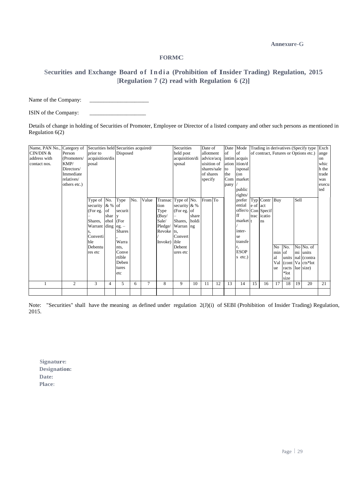**Annexure-G**

## **FORMC**

## **Securities and Exchange Board o f I n d i a (Prohibition of Insider Trading) Regulation, 2015 [Regulation 7 (2) read with Regulation 6 (2)]**

Name of the Company:

ISIN of the Company:

Details of change in holding of Securities of Promoter, Employee or Director of a listed company and other such persons as mentioned in Regulation 6(2)

| Name, PAN No.,<br>CIN/DIN &<br>address with<br>contact nos. | Category of<br>Person<br>(Promoters/<br>KMP/<br>Directors/<br>Immediate<br>relatives/<br>others etc.) | prior to<br>acquisition/dis<br>posal                                                                               |                     | Securities held Securities acquired/<br>Disposed                                                             |     |       | Securities<br>held post<br>acquisition/di<br>sposal                     |                                                                                                                   | Date of<br>allotment<br>advice/acq<br>uisition of<br>shares/sale<br>of shares<br>specify |         | Date<br>of<br>to<br>the<br>Com<br>pany | Mode<br>of<br>intim acquis<br>ation ition/d<br>isposal<br>$($ on<br>market<br>public |                                                                                                                                      | of contract, Futures or Options etc.) |                                           |                                             |                                          | Trading in derivatives (Specify type | Exch<br>ange<br>on<br>whic<br>h the<br>trade<br>was<br>execu<br>ted |    |
|-------------------------------------------------------------|-------------------------------------------------------------------------------------------------------|--------------------------------------------------------------------------------------------------------------------|---------------------|--------------------------------------------------------------------------------------------------------------|-----|-------|-------------------------------------------------------------------------|-------------------------------------------------------------------------------------------------------------------|------------------------------------------------------------------------------------------|---------|----------------------------------------|--------------------------------------------------------------------------------------|--------------------------------------------------------------------------------------------------------------------------------------|---------------------------------------|-------------------------------------------|---------------------------------------------|------------------------------------------|--------------------------------------|---------------------------------------------------------------------|----|
|                                                             |                                                                                                       | Type of No.<br>security $\& \%$ of<br>(For eg.<br>Shares,<br>Warrant ding<br>Converti<br>ble<br>Debentu<br>res etc | lof<br>shar<br>ehol | Type<br>securit<br>(For<br>eg.<br><b>Shares</b><br>Warra<br>nts.<br>Conve<br>rtible<br>Deben<br>tures<br>etc | No. | Value | tion<br>Type<br>(Buy/<br>Sale/<br>Pledge/<br>Revoke ts,<br>Invoke) ible | Transac Type of No.<br>security & %<br>(For eg. of<br>Shares, holdi<br>Warran ng<br>Convert<br>Debent<br>ures etc | share                                                                                    | From To |                                        |                                                                                      | rights/<br>prefer<br>ential<br>offer/o Con Specif<br>ff<br>market  <sub>t</sub><br>inter-<br>se<br>transfe<br><b>ESOP</b><br>s etc.) | e of act                              | Typ Contr Buy<br>trac <i>icatio</i><br>ns | N <sub>o</sub><br>min of<br>al<br>Val<br>ue | No.<br>racts lue size)<br>$*lot$<br>size | Sell                                 | No No. of<br>mi units<br>units nal (contra<br>(cont Va cts*lot)     |    |
| 1                                                           | $\overline{c}$                                                                                        | 3                                                                                                                  | 4                   | 5                                                                                                            | 6   | 7     | 8                                                                       | 9                                                                                                                 | 10                                                                                       | 11      | 12                                     | 13                                                                                   | 14                                                                                                                                   | 15                                    | 16                                        | 17                                          | 18                                       | 19                                   | 20                                                                  | 21 |
|                                                             |                                                                                                       |                                                                                                                    |                     |                                                                                                              |     |       |                                                                         |                                                                                                                   |                                                                                          |         |                                        |                                                                                      |                                                                                                                                      |                                       |                                           |                                             |                                          |                                      |                                                                     |    |

Note: "Securities" shall have the meaning as defined under regulation 2(J)(i) of SEBI (Prohibition of Insider Trading) Regulation, 2015.

**Signature: Designation: Date: Place:**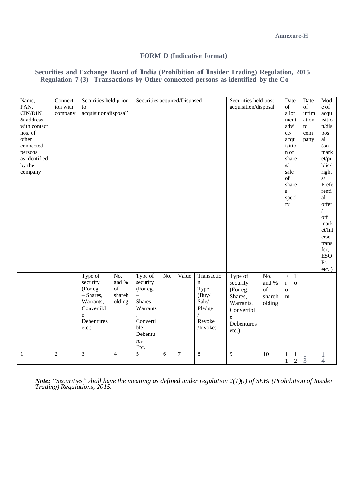## **FORM D (Indicative format)**

## **Securities and Exchange Board of lndia (Prohibition of lnsider Trading) Regulation, <sup>2015</sup> Regulation <sup>7</sup> (3) -Transactions by Other connected persons as identified by the Co**

| Name,<br>PAN,<br>CIN/DIN,<br>& address<br>with contact<br>nos. of<br>other<br>connected<br>persons<br>as identified<br>by the<br>company | Connect<br>ion with<br>company | Securities held prior<br>to<br>acquisition/disposal`                                                  |                                           | Securities acquired/Disposed                                                                        |     |                  |                                                                                     | Securities held post<br>acquisition/disposal                                                              |                                        | Date<br>of<br>allot<br>ment<br>advi<br>ce/<br>acqu<br>isitio<br>n of<br>share<br>$\mathbf{s}/$<br>sale<br>of<br>share<br>$\mathbf S$<br>speci<br>fy |                                | Date<br>of<br>intim<br>ation<br>to<br>com<br>pany | Mod<br>e of<br>acqu<br>isitio<br>n/dis<br>pos<br>al<br>$($ on<br>mark<br>et/pu<br>blic/<br>right<br>S/<br>Prefe<br>renti<br>al<br>offer<br>off<br>mark<br>et/Int<br>erse<br>trans<br>fer,<br><b>ESO</b><br>P <sub>S</sub><br>$etc.$ ) |
|------------------------------------------------------------------------------------------------------------------------------------------|--------------------------------|-------------------------------------------------------------------------------------------------------|-------------------------------------------|-----------------------------------------------------------------------------------------------------|-----|------------------|-------------------------------------------------------------------------------------|-----------------------------------------------------------------------------------------------------------|----------------------------------------|-----------------------------------------------------------------------------------------------------------------------------------------------------|--------------------------------|---------------------------------------------------|---------------------------------------------------------------------------------------------------------------------------------------------------------------------------------------------------------------------------------------|
|                                                                                                                                          |                                | Type of<br>security<br>(For eg.<br>$-$ Shares,<br>Warrants,<br>Convertibl<br>e<br>Debentures<br>etc.) | No.<br>and $\%$<br>of<br>shareh<br>olding | Type of<br>security<br>(For eg.<br>Shares,<br>Warrants<br>Converti<br>ble<br>Debentu<br>res<br>Etc. | No. | Value            | Transactio<br>$\mathbf n$<br>Type<br>(Buy/<br>Sale/<br>Pledge<br>Revoke<br>/Invoke) | Type of<br>security<br>$(For e.g. -$<br>Shares,<br>Warrants,<br>Convertibl<br>e<br>Debentures<br>$etc.$ ) | No.<br>and %<br>of<br>shareh<br>olding | $\overline{F}$<br>$\mathbf r$<br>$\mathbf 0$<br>m                                                                                                   | $\overline{T}$<br>$\mathbf{o}$ |                                                   |                                                                                                                                                                                                                                       |
| $\mathbf{1}$                                                                                                                             | $\overline{2}$                 | $\mathfrak{Z}$                                                                                        | $\overline{4}$                            | $\overline{5}$                                                                                      | 6   | $\boldsymbol{7}$ | 8                                                                                   | 9                                                                                                         | 10                                     | $\mathbf{1}$<br>$\mathbf{1}$                                                                                                                        | $\mathbf{1}$<br>$\overline{2}$ | $\mathbf{1}$<br>$\overline{3}$                    | $\mathbf{1}$<br>$\overline{4}$                                                                                                                                                                                                        |

*Note: "Securities" shall have the meaning as defined under regulation 2(1)(i) of SEBI (Prohibition of Insider Trading) Regulations, 2015.*